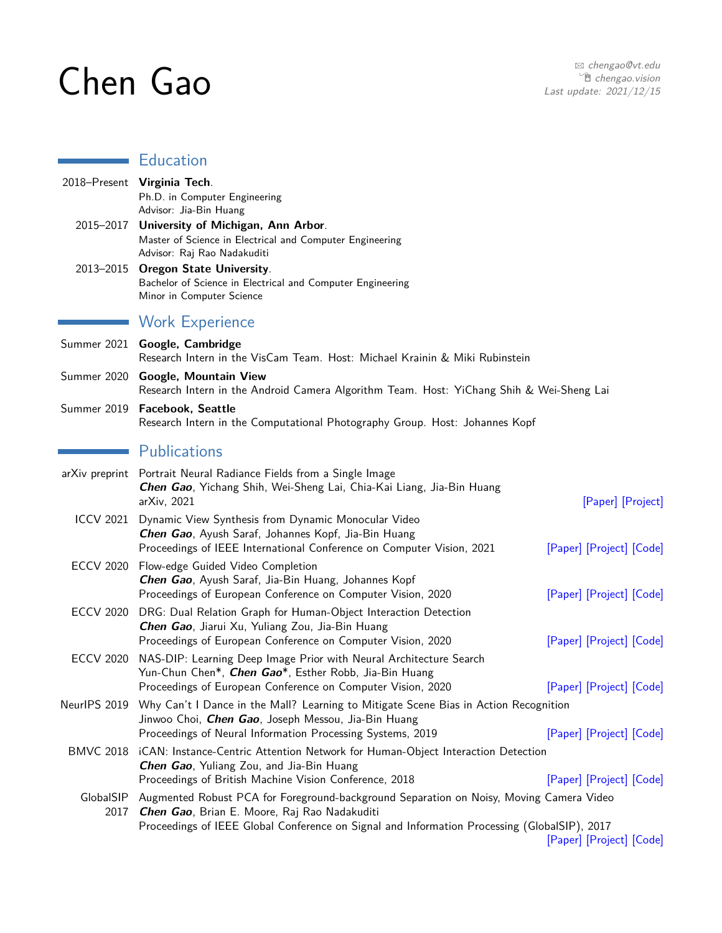# Chen Gao

Ē

# Education

|                   | 2018-Present Virginia Tech.<br>Ph.D. in Computer Engineering<br>Advisor: Jia-Bin Huang                                                                                                                                                  |                          |
|-------------------|-----------------------------------------------------------------------------------------------------------------------------------------------------------------------------------------------------------------------------------------|--------------------------|
| 2015–2017         | University of Michigan, Ann Arbor.<br>Master of Science in Electrical and Computer Engineering<br>Advisor: Raj Rao Nadakuditi                                                                                                           |                          |
| 2013–2015         | <b>Oregon State University.</b><br>Bachelor of Science in Electrical and Computer Engineering<br>Minor in Computer Science                                                                                                              |                          |
|                   | <b>Work Experience</b>                                                                                                                                                                                                                  |                          |
|                   | Summer 2021 Google, Cambridge<br>Research Intern in the VisCam Team. Host: Michael Krainin & Miki Rubinstein                                                                                                                            |                          |
|                   | Summer 2020 Google, Mountain View<br>Research Intern in the Android Camera Algorithm Team. Host: YiChang Shih & Wei-Sheng Lai                                                                                                           |                          |
|                   | Summer 2019 Facebook, Seattle<br>Research Intern in the Computational Photography Group. Host: Johannes Kopf                                                                                                                            |                          |
|                   | Publications                                                                                                                                                                                                                            |                          |
|                   | arXiv preprint Portrait Neural Radiance Fields from a Single Image<br>Chen Gao, Yichang Shih, Wei-Sheng Lai, Chia-Kai Liang, Jia-Bin Huang<br>arXiv, 2021                                                                               | [Paper] [Project]        |
| <b>ICCV 2021</b>  | Dynamic View Synthesis from Dynamic Monocular Video<br>Chen Gao, Ayush Saraf, Johannes Kopf, Jia-Bin Huang<br>Proceedings of IEEE International Conference on Computer Vision, 2021                                                     | [Paper] [Project] [Code] |
| <b>ECCV 2020</b>  | Flow-edge Guided Video Completion<br>Chen Gao, Ayush Saraf, Jia-Bin Huang, Johannes Kopf<br>Proceedings of European Conference on Computer Vision, 2020                                                                                 | [Paper] [Project] [Code] |
| ECCV 2020         | DRG: Dual Relation Graph for Human-Object Interaction Detection<br>Chen Gao, Jiarui Xu, Yuliang Zou, Jia-Bin Huang<br>Proceedings of European Conference on Computer Vision, 2020                                                       | [Paper] [Project] [Code] |
| <b>ECCV 2020</b>  | NAS-DIP: Learning Deep Image Prior with Neural Architecture Search<br>Yun-Chun Chen*, Chen Gao*, Esther Robb, Jia-Bin Huang<br>Proceedings of European Conference on Computer Vision, 2020                                              | [Paper] [Project] [Code] |
|                   | NeurIPS 2019 Why Can't I Dance in the Mall? Learning to Mitigate Scene Bias in Action Recognition<br>Jinwoo Choi, <i>Chen Gao</i> , Joseph Messou, Jia-Bin Huang<br>Proceedings of Neural Information Processing Systems, 2019          | [Paper] [Project] [Code] |
|                   | BMVC 2018 iCAN: Instance-Centric Attention Network for Human-Object Interaction Detection<br>Chen Gao, Yuliang Zou, and Jia-Bin Huang<br>Proceedings of British Machine Vision Conference, 2018                                         | [Paper] [Project] [Code] |
| GlobalSIP<br>2017 | Augmented Robust PCA for Foreground-background Separation on Noisy, Moving Camera Video<br>Chen Gao, Brian E. Moore, Raj Rao Nadakuditi<br>Proceedings of IEEE Global Conference on Signal and Information Processing (GlobalSIP), 2017 |                          |
|                   |                                                                                                                                                                                                                                         | [Paper] [Project] [Code] |